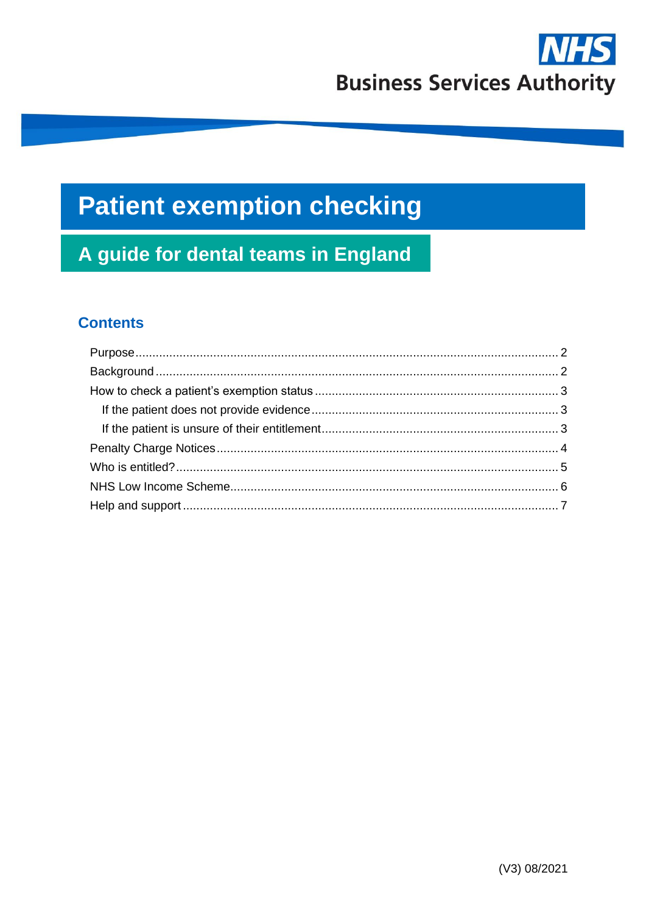

# **Patient exemption checking**

## A guide for dental teams in England

## **Contents**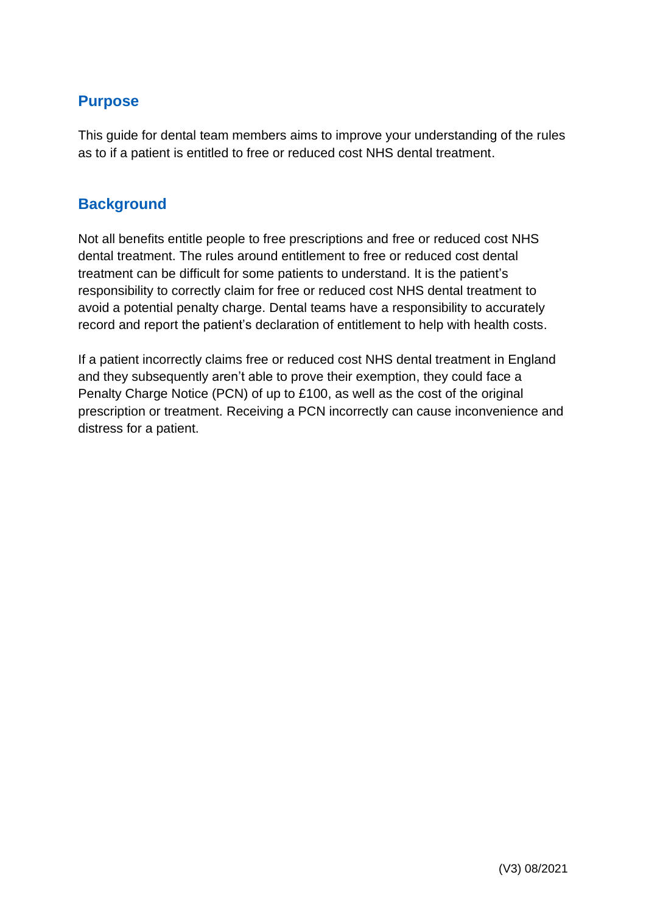## **Purpose**

This guide for dental team members aims to improve your understanding of the rules as to if a patient is entitled to free or reduced cost NHS dental treatment.

## **Background**

Not all benefits entitle people to free prescriptions and free or reduced cost NHS dental treatment. The rules around entitlement to free or reduced cost dental treatment can be difficult for some patients to understand. It is the patient's responsibility to correctly claim for free or reduced cost NHS dental treatment to avoid a potential penalty charge. Dental teams have a responsibility to accurately record and report the patient's declaration of entitlement to help with health costs.

If a patient incorrectly claims free or reduced cost NHS dental treatment in England and they subsequently aren't able to prove their exemption, they could face a Penalty Charge Notice (PCN) of up to £100, as well as the cost of the original prescription or treatment. Receiving a PCN incorrectly can cause inconvenience and distress for a patient.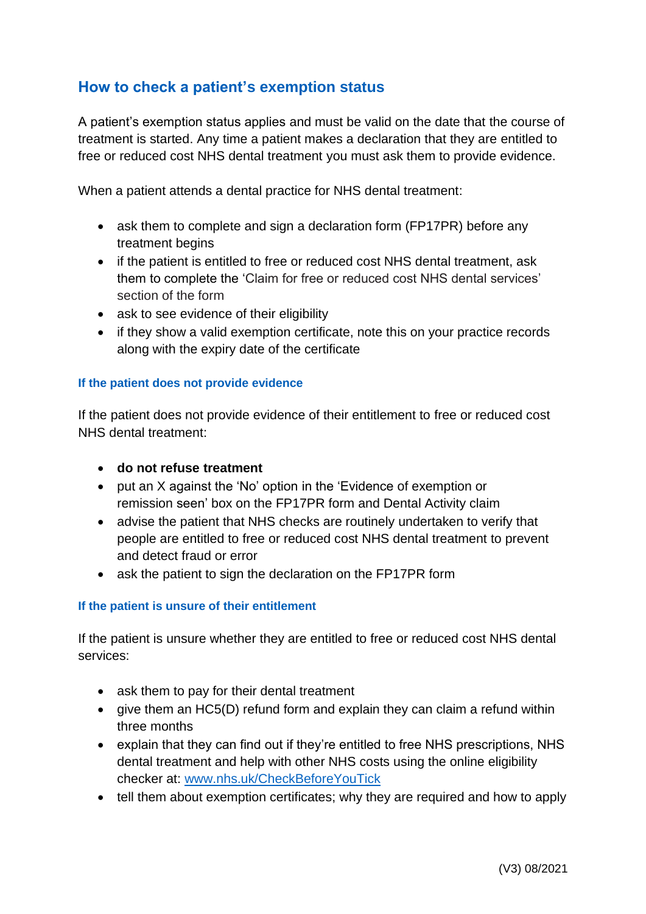## **How to check a patient's exemption status**

A patient's exemption status applies and must be valid on the date that the course of treatment is started. Any time a patient makes a declaration that they are entitled to free or reduced cost NHS dental treatment you must ask them to provide evidence.

When a patient attends a dental practice for NHS dental treatment:

- ask them to complete and sign a declaration form (FP17PR) before any treatment begins
- if the patient is entitled to free or reduced cost NHS dental treatment, ask them to complete the 'Claim for free or reduced cost NHS dental services' section of the form
- ask to see evidence of their eligibility
- if they show a valid exemption certificate, note this on your practice records along with the expiry date of the certificate

#### **If the patient does not provide evidence**

If the patient does not provide evidence of their entitlement to free or reduced cost NHS dental treatment:

- **do not refuse treatment**
- put an X against the 'No' option in the 'Evidence of exemption or remission seen' box on the FP17PR form and Dental Activity claim
- advise the patient that NHS checks are routinely undertaken to verify that people are entitled to free or reduced cost NHS dental treatment to prevent and detect fraud or error
- ask the patient to sign the declaration on the FP17PR form

#### **If the patient is unsure of their entitlement**

If the patient is unsure whether they are entitled to free or reduced cost NHS dental services:

- ask them to pay for their dental treatment
- give them an HC5(D) refund form and explain they can claim a refund within three months
- explain that they can find out if they're entitled to free NHS prescriptions, NHS dental treatment and help with other NHS costs using the online eligibility checker at: [www.nhs.uk/CheckBeforeYouTick](http://www.nhs.uk/CheckBeforeYouTick)
- tell them about exemption certificates; why they are required and how to apply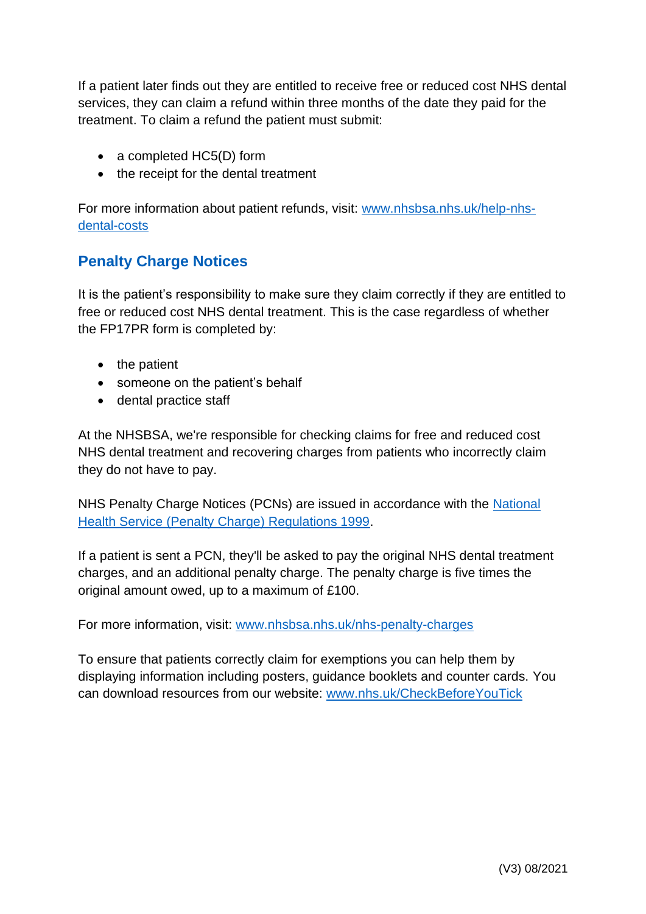If a patient later finds out they are entitled to receive free or reduced cost NHS dental services, they can claim a refund within three months of the date they paid for the treatment. To claim a refund the patient must submit:

- a completed HC5(D) form
- the receipt for the dental treatment

For more information about patient refunds, visit: [www.nhsbsa.nhs.uk/help-nhs](http://www.nhsbsa.nhs.uk/help-nhs-dental-costs)[dental-costs](http://www.nhsbsa.nhs.uk/help-nhs-dental-costs)

## **Penalty Charge Notices**

It is the patient's responsibility to make sure they claim correctly if they are entitled to free or reduced cost NHS dental treatment. This is the case regardless of whether the FP17PR form is completed by:

- the patient
- someone on the patient's behalf
- dental practice staff

At the NHSBSA, we're responsible for checking claims for free and reduced cost NHS dental treatment and recovering charges from patients who incorrectly claim they do not have to pay.

NHS Penalty Charge Notices (PCNs) are issued in accordance with the [National](http://www.legislation.gov.uk/uksi/1999/2794/contents/made)  [Health Service \(Penalty Charge\) Regulations 1999.](http://www.legislation.gov.uk/uksi/1999/2794/contents/made)

If a patient is sent a PCN, they'll be asked to pay the original NHS dental treatment charges, and an additional penalty charge. The penalty charge is five times the original amount owed, up to a maximum of £100.

For more information, visit: [www.nhsbsa.nhs.uk/nhs-penalty-charges](http://www.nhsbsa.nhs.uk/nhs-penalty-charges)

To ensure that patients correctly claim for exemptions you can help them by displaying information including posters, guidance booklets and counter cards. You can download resources from our website: [www.nhs.uk/CheckBeforeYouTick](http://www.nhs.uk/CheckBeforeYouTick)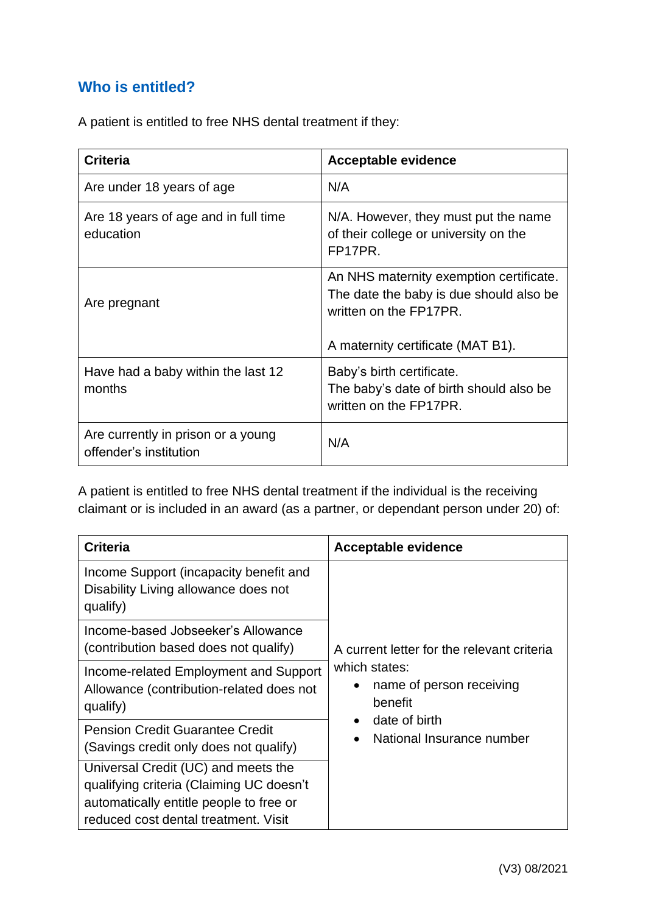## **Who is entitled?**

A patient is entitled to free NHS dental treatment if they:

| <b>Criteria</b>                                              | <b>Acceptable evidence</b>                                                                                                                        |
|--------------------------------------------------------------|---------------------------------------------------------------------------------------------------------------------------------------------------|
| Are under 18 years of age                                    | N/A                                                                                                                                               |
| Are 18 years of age and in full time<br>education            | N/A. However, they must put the name<br>of their college or university on the<br>FP17PR.                                                          |
| Are pregnant                                                 | An NHS maternity exemption certificate.<br>The date the baby is due should also be<br>written on the FP17PR.<br>A maternity certificate (MAT B1). |
| Have had a baby within the last 12<br>months                 | Baby's birth certificate.<br>The baby's date of birth should also be<br>written on the FP17PR.                                                    |
| Are currently in prison or a young<br>offender's institution | N/A                                                                                                                                               |

A patient is entitled to free NHS dental treatment if the individual is the receiving claimant or is included in an award (as a partner, or dependant person under 20) of:

| <b>Criteria</b>                                                                                                                                                    | <b>Acceptable evidence</b>                                                                                                                                                 |
|--------------------------------------------------------------------------------------------------------------------------------------------------------------------|----------------------------------------------------------------------------------------------------------------------------------------------------------------------------|
| Income Support (incapacity benefit and<br>Disability Living allowance does not<br>qualify)                                                                         | A current letter for the relevant criteria<br>which states:<br>name of person receiving<br>$\bullet$<br>benefit<br>date of birth<br>National Insurance number<br>$\bullet$ |
| Income-based Jobseeker's Allowance<br>(contribution based does not qualify)                                                                                        |                                                                                                                                                                            |
| Income-related Employment and Support<br>Allowance (contribution-related does not<br>qualify)                                                                      |                                                                                                                                                                            |
| <b>Pension Credit Guarantee Credit</b><br>(Savings credit only does not qualify)                                                                                   |                                                                                                                                                                            |
| Universal Credit (UC) and meets the<br>qualifying criteria (Claiming UC doesn't<br>automatically entitle people to free or<br>reduced cost dental treatment. Visit |                                                                                                                                                                            |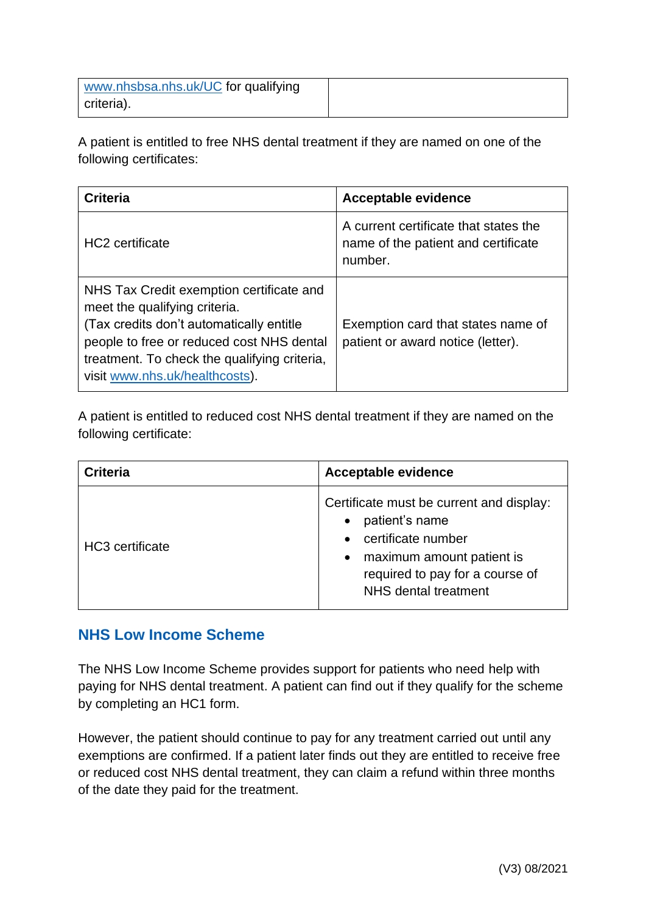| www.nhsbsa.nhs.uk/UC for qualifying |  |
|-------------------------------------|--|
| criteria).                          |  |

A patient is entitled to free NHS dental treatment if they are named on one of the following certificates:

| <b>Criteria</b>                                                                                                                                                                                                                                      | <b>Acceptable evidence</b>                                                              |
|------------------------------------------------------------------------------------------------------------------------------------------------------------------------------------------------------------------------------------------------------|-----------------------------------------------------------------------------------------|
| <b>HC2</b> certificate                                                                                                                                                                                                                               | A current certificate that states the<br>name of the patient and certificate<br>number. |
| NHS Tax Credit exemption certificate and<br>meet the qualifying criteria.<br>(Tax credits don't automatically entitle<br>people to free or reduced cost NHS dental<br>treatment. To check the qualifying criteria,<br>visit www.nhs.uk/healthcosts). | Exemption card that states name of<br>patient or award notice (letter).                 |

A patient is entitled to reduced cost NHS dental treatment if they are named on the following certificate:

| <b>Criteria</b>             | <b>Acceptable evidence</b>                                                                                                                                                                     |
|-----------------------------|------------------------------------------------------------------------------------------------------------------------------------------------------------------------------------------------|
| HC <sub>3</sub> certificate | Certificate must be current and display:<br>patient's name<br>certificate number<br>$\bullet$<br>• maximum amount patient is<br>required to pay for a course of<br><b>NHS</b> dental treatment |

## **NHS Low Income Scheme**

The NHS Low Income Scheme provides support for patients who need help with paying for NHS dental treatment. A patient can find out if they qualify for the scheme by completing an HC1 form.

However, the patient should continue to pay for any treatment carried out until any exemptions are confirmed. If a patient later finds out they are entitled to receive free or reduced cost NHS dental treatment, they can claim a refund within three months of the date they paid for the treatment.